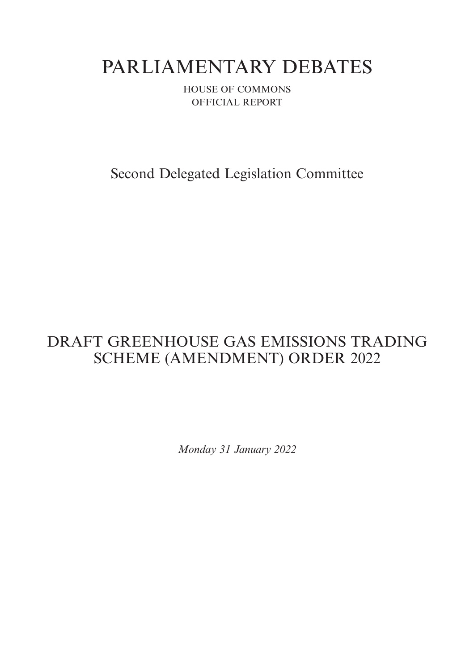# PARLIAMENTARY DEBATES

HOUSE OF COMMONS OFFICIAL REPORT

Second Delegated Legislation Committee

## DRAFT GREENHOUSE GAS EMISSIONS TRADING SCHEME (AMENDMENT) ORDER 2022

*Monday 31 January 2022*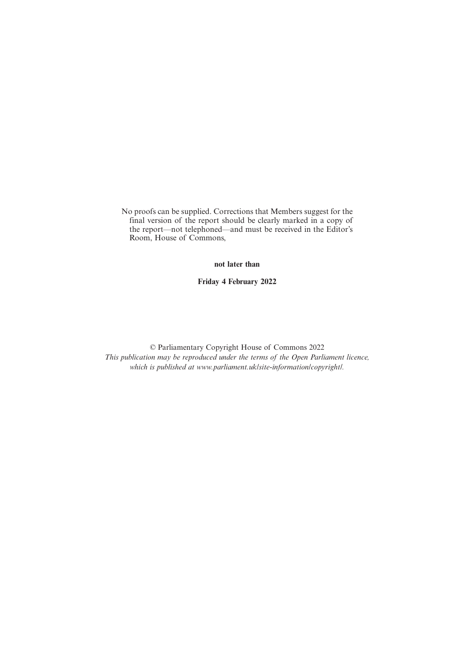No proofs can be supplied. Corrections that Members suggest for the final version of the report should be clearly marked in a copy of the report—not telephoned—and must be received in the Editor's Room, House of Commons,

**not later than**

**Friday 4 February 2022**

© Parliamentary Copyright House of Commons 2022 *This publication may be reproduced under the terms of the Open Parliament licence, which is published at www.parliament.uk/site-information/copyright/.*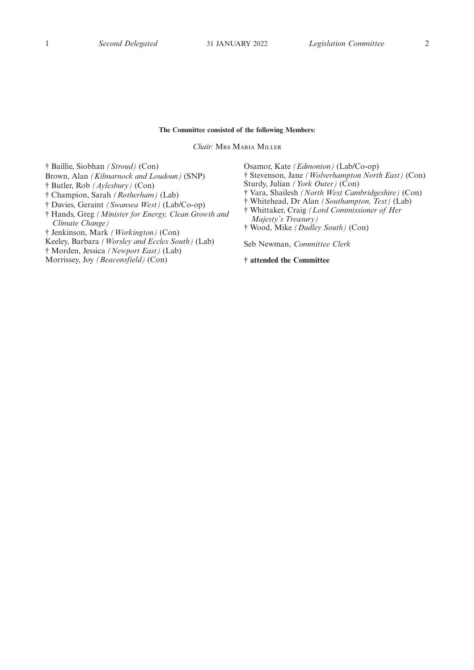#### **The Committee consisted of the following Members:**

*Chair:* MRS MARIA MILLER

† Baillie, Siobhan *(Stroud)* (Con) Brown, Alan *(Kilmarnock and Loudoun)* (SNP) † Butler, Rob *(Aylesbury)* (Con) † Champion, Sarah *(Rotherham)* (Lab) † Davies, Geraint *(Swansea West)* (Lab/Co-op) † Hands, Greg *(Minister for Energy, Clean Growth and Climate Change)* † Jenkinson, Mark *(Workington)* (Con) Keeley, Barbara *(Worsley and Eccles South)* (Lab) † Morden, Jessica *(Newport East)* (Lab) Morrissey, Joy *(Beaconsfield)* (Con)

Osamor, Kate *(Edmonton)* (Lab/Co-op) † Stevenson, Jane *(Wolverhampton North East)* (Con) Sturdy, Julian *(York Outer)* (Con) † Vara, Shailesh *(North West Cambridgeshire)* (Con) † Whitehead, Dr Alan *(Southampton, Test)* (Lab) † Whittaker, Craig *(Lord Commissioner of Her Majesty's Treasury)* † Wood, Mike *(Dudley South)* (Con) Seb Newman, *Committee Clerk*

**† attended the Committee**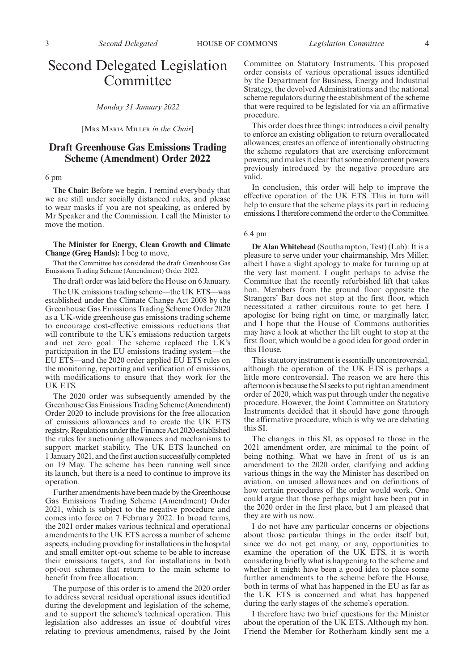### Second Delegated Legislation Committee

*Monday 31 January 2022*

[MRS MARIA MILLER *in the Chair*]

#### **Draft Greenhouse Gas Emissions Trading Scheme (Amendment) Order 2022**

#### 6 pm

**The Chair:** Before we begin, I remind everybody that we are still under socially distanced rules, and please to wear masks if you are not speaking, as ordered by Mr Speaker and the Commission. I call the Minister to move the motion.

#### **The Minister for Energy, Clean Growth and Climate Change (Greg Hands):** I beg to move,

That the Committee has considered the draft Greenhouse Gas Emissions Trading Scheme (Amendment) Order 2022.

The draft order was laid before the House on 6 January.

The UK emissions trading scheme—the UK ETS—was established under the Climate Change Act 2008 by the Greenhouse Gas Emissions Trading Scheme Order 2020 as a UK-wide greenhouse gas emissions trading scheme to encourage cost-effective emissions reductions that will contribute to the UK's emissions reduction targets and net zero goal. The scheme replaced the UK's participation in the EU emissions trading system—the EU ETS—and the 2020 order applied EU ETS rules on the monitoring, reporting and verification of emissions, with modifications to ensure that they work for the UK ETS.

The 2020 order was subsequently amended by the Greenhouse Gas Emissions Trading Scheme (Amendment) Order 2020 to include provisions for the free allocation of emissions allowances and to create the UK ETS registry. Regulations under the Finance Act 2020 established the rules for auctioning allowances and mechanisms to support market stability. The UK ETS launched on 1 January 2021, and the first auction successfully completed on 19 May. The scheme has been running well since its launch, but there is a need to continue to improve its operation.

Further amendments have been made by the Greenhouse Gas Emissions Trading Scheme (Amendment) Order 2021, which is subject to the negative procedure and comes into force on 7 February 2022. In broad terms, the 2021 order makes various technical and operational amendments to the UK ETS across a number of scheme aspects, including providing for installations in the hospital and small emitter opt-out scheme to be able to increase their emissions targets, and for installations in both opt-out schemes that return to the main scheme to benefit from free allocation.

The purpose of this order is to amend the 2020 order to address several residual operational issues identified during the development and legislation of the scheme, and to support the scheme's technical operation. This legislation also addresses an issue of doubtful vires relating to previous amendments, raised by the Joint Committee on Statutory Instruments. This proposed order consists of various operational issues identified by the Department for Business, Energy and Industrial Strategy, the devolved Administrations and the national scheme regulators during the establishment of the scheme that were required to be legislated for via an affirmative procedure.

This order does three things: introduces a civil penalty to enforce an existing obligation to return overallocated allowances; creates an offence of intentionally obstructing the scheme regulators that are exercising enforcement powers; and makes it clear that some enforcement powers previously introduced by the negative procedure are valid.

In conclusion, this order will help to improve the effective operation of the UK ETS. This in turn will help to ensure that the scheme plays its part in reducing emissions. I therefore commend the order to the Committee.

#### 6.4 pm

**Dr Alan Whitehead** (Southampton, Test) (Lab): It is a pleasure to serve under your chairmanship, Mrs Miller, albeit I have a slight apology to make for turning up at the very last moment. I ought perhaps to advise the Committee that the recently refurbished lift that takes hon. Members from the ground floor opposite the Strangers' Bar does not stop at the first floor, which necessitated a rather circuitous route to get here. I apologise for being right on time, or marginally later, and I hope that the House of Commons authorities may have a look at whether the lift ought to stop at the first floor, which would be a good idea for good order in this House.

This statutory instrument is essentially uncontroversial, although the operation of the UK ETS is perhaps a little more controversial. The reason we are here this afternoon is because the SI seeks to put right an amendment order of 2020, which was put through under the negative procedure. However, the Joint Committee on Statutory Instruments decided that it should have gone through the affirmative procedure, which is why we are debating this SI.

The changes in this SI, as opposed to those in the 2021 amendment order, are minimal to the point of being nothing. What we have in front of us is an amendment to the 2020 order, clarifying and adding various things in the way the Minister has described on aviation, on unused allowances and on definitions of how certain procedures of the order would work. One could argue that those perhaps might have been put in the 2020 order in the first place, but I am pleased that they are with us now.

I do not have any particular concerns or objections about those particular things in the order itself but, since we do not get many, or any, opportunities to examine the operation of the UK ETS, it is worth considering briefly what is happening to the scheme and whether it might have been a good idea to place some further amendments to the scheme before the House, both in terms of what has happened in the EU as far as the UK ETS is concerned and what has happened during the early stages of the scheme's operation.

I therefore have two brief questions for the Minister about the operation of the UK ETS. Although my hon. Friend the Member for Rotherham kindly sent me a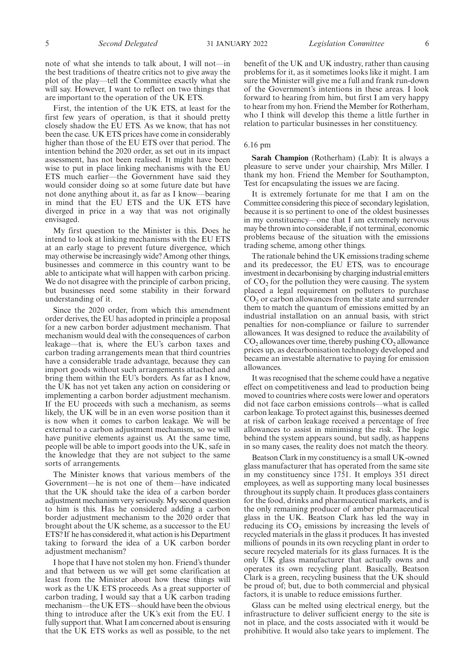note of what she intends to talk about, I will not—in the best traditions of theatre critics not to give away the plot of the play—tell the Committee exactly what she will say. However, I want to reflect on two things that are important to the operation of the UK ETS.

First, the intention of the UK ETS, at least for the first few years of operation, is that it should pretty closely shadow the EU ETS. As we know, that has not been the case. UK ETS prices have come in considerably higher than those of the EU ETS over that period. The intention behind the 2020 order, as set out in its impact assessment, has not been realised. It might have been wise to put in place linking mechanisms with the EU ETS much earlier—the Government have said they would consider doing so at some future date but have not done anything about it, as far as I know—bearing in mind that the EU ETS and the UK ETS have diverged in price in a way that was not originally envisaged.

My first question to the Minister is this. Does he intend to look at linking mechanisms with the EU ETS at an early stage to prevent future divergence, which may otherwise be increasingly wide? Among other things, businesses and commerce in this country want to be able to anticipate what will happen with carbon pricing. We do not disagree with the principle of carbon pricing, but businesses need some stability in their forward understanding of it.

Since the 2020 order, from which this amendment order derives, the EU has adopted in principle a proposal for a new carbon border adjustment mechanism. That mechanism would deal with the consequences of carbon leakage—that is, where the EU's carbon taxes and carbon trading arrangements mean that third countries have a considerable trade advantage, because they can import goods without such arrangements attached and bring them within the EU's borders. As far as I know, the UK has not yet taken any action on considering or implementing a carbon border adjustment mechanism. If the EU proceeds with such a mechanism, as seems likely, the UK will be in an even worse position than it is now when it comes to carbon leakage. We will be external to a carbon adjustment mechanism, so we will have punitive elements against us. At the same time, people will be able to import goods into the UK, safe in the knowledge that they are not subject to the same sorts of arrangements.

The Minister knows that various members of the Government—he is not one of them—have indicated that the UK should take the idea of a carbon border adjustment mechanism very seriously. My second question to him is this. Has he considered adding a carbon border adjustment mechanism to the 2020 order that brought about the UK scheme, as a successor to the EU ETS? If he has considered it, what action is his Department taking to forward the idea of a UK carbon border adjustment mechanism?

I hope that I have not stolen my hon. Friend's thunder and that between us we will get some clarification at least from the Minister about how these things will work as the UK ETS proceeds. As a great supporter of carbon trading, I would say that a UK carbon trading mechanism—the UK ETS—should have been the obvious thing to introduce after the UK's exit from the EU. I fully support that. What I am concerned about is ensuring that the UK ETS works as well as possible, to the net

benefit of the UK and UK industry, rather than causing problems for it, as it sometimes looks like it might. I am sure the Minister will give me a full and frank run-down of the Government's intentions in these areas. I look forward to hearing from him, but first I am very happy to hear from my hon. Friend the Member for Rotherham, who I think will develop this theme a little further in relation to particular businesses in her constituency.

#### 6.16 pm

**Sarah Champion** (Rotherham) (Lab): It is always a pleasure to serve under your chairship, Mrs Miller. I thank my hon. Friend the Member for Southampton, Test for encapsulating the issues we are facing.

It is extremely fortunate for me that I am on the Committee considering this piece of secondary legislation, because it is so pertinent to one of the oldest businesses in my constituency—one that I am extremely nervous may be thrown into considerable, if not terminal, economic problems because of the situation with the emissions trading scheme, among other things.

The rationale behind the UK emissions trading scheme and its predecessor, the EU ETS, was to encourage investment in decarbonising by charging industrial emitters of  $CO<sub>2</sub>$  for the pollution they were causing. The system placed a legal requirement on polluters to purchase  $CO<sub>2</sub>$  or carbon allowances from the state and surrender them to match the quantum of emissions emitted by an industrial installation on an annual basis, with strict penalties for non-compliance or failure to surrender allowances. It was designed to reduce the availability of  $CO<sub>2</sub>$  allowances over time, thereby pushing  $CO<sub>2</sub>$  allowance prices up, as decarbonisation technology developed and became an investable alternative to paying for emission allowances.

It was recognised that the scheme could have a negative effect on competitiveness and lead to production being moved to countries where costs were lower and operators did not face carbon emissions controls—what is called carbon leakage. To protect against this, businesses deemed at risk of carbon leakage received a percentage of free allowances to assist in minimising the risk. The logic behind the system appears sound, but sadly, as happens in so many cases, the reality does not match the theory.

Beatson Clark in my constituency is a small UK-owned glass manufacturer that has operated from the same site in my constituency since 1751. It employs 351 direct employees, as well as supporting many local businesses throughout its supply chain. It produces glass containers for the food, drinks and pharmaceutical markets, and is the only remaining producer of amber pharmaceutical glass in the UK. Beatson Clark has led the way in reducing its  $CO<sub>2</sub>$  emissions by increasing the levels of recycled materials in the glass it produces. It has invested millions of pounds in its own recycling plant in order to secure recycled materials for its glass furnaces. It is the only UK glass manufacturer that actually owns and operates its own recycling plant. Basically, Beatson Clark is a green, recycling business that the UK should be proud of; but, due to both commercial and physical factors, it is unable to reduce emissions further.

Glass can be melted using electrical energy, but the infrastructure to deliver sufficient energy to the site is not in place, and the costs associated with it would be prohibitive. It would also take years to implement. The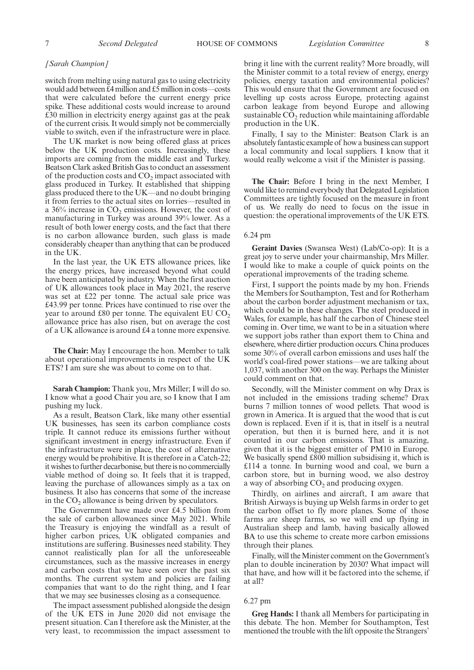#### *[Sarah Champion]*

switch from melting using natural gas to using electricity would add between £4 million and £5 million in costs—costs that were calculated before the current energy price spike. These additional costs would increase to around £30 million in electricity energy against gas at the peak of the current crisis. It would simply not be commercially viable to switch, even if the infrastructure were in place.

The UK market is now being offered glass at prices below the UK production costs. Increasingly, these imports are coming from the middle east and Turkey. Beatson Clark asked British Gas to conduct an assessment of the production costs and  $CO<sub>2</sub>$  impact associated with glass produced in Turkey. It established that shipping glass produced there to the UK—and no doubt bringing it from ferries to the actual sites on lorries—resulted in a  $36\%$  increase in  $CO_2$  emissions. However, the cost of manufacturing in Turkey was around 39% lower. As a result of both lower energy costs, and the fact that there is no carbon allowance burden, such glass is made considerably cheaper than anything that can be produced in the UK.

In the last year, the UK ETS allowance prices, like the energy prices, have increased beyond what could have been anticipated by industry. When the first auction of UK allowances took place in May 2021, the reserve was set at £22 per tonne. The actual sale price was £43.99 per tonne. Prices have continued to rise over the year to around £80 per tonne. The equivalent  $EU CO<sub>2</sub>$ allowance price has also risen, but on average the cost of a UK allowance is around £4 a tonne more expensive.

**The Chair:** May I encourage the hon. Member to talk about operational improvements in respect of the UK ETS? I am sure she was about to come on to that.

**Sarah Champion:** Thank you, Mrs Miller; I will do so. I know what a good Chair you are, so I know that I am pushing my luck.

As a result, Beatson Clark, like many other essential UK businesses, has seen its carbon compliance costs triple. It cannot reduce its emissions further without significant investment in energy infrastructure. Even if the infrastructure were in place, the cost of alternative energy would be prohibitive. It is therefore in a Catch-22; it wishes to further decarbonise, but there is no commercially viable method of doing so. It feels that it is trapped, leaving the purchase of allowances simply as a tax on business. It also has concerns that some of the increase in the  $CO<sub>2</sub>$  allowance is being driven by speculators.

The Government have made over £4.5 billion from the sale of carbon allowances since May 2021. While the Treasury is enjoying the windfall as a result of higher carbon prices, UK obligated companies and institutions are suffering. Businesses need stability. They cannot realistically plan for all the unforeseeable circumstances, such as the massive increases in energy and carbon costs that we have seen over the past six months. The current system and policies are failing companies that want to do the right thing, and I fear that we may see businesses closing as a consequence.

The impact assessment published alongside the design of the UK ETS in June 2020 did not envisage the present situation. Can I therefore ask the Minister, at the very least, to recommission the impact assessment to bring it line with the current reality? More broadly, will the Minister commit to a total review of energy, energy policies, energy taxation and environmental policies? This would ensure that the Government are focused on levelling up costs across Europe, protecting against carbon leakage from beyond Europe and allowing sustainable  $\mathrm{CO}_2$  reduction while maintaining affordable production in the UK.

Finally, I say to the Minister: Beatson Clark is an absolutely fantastic example of how a business can support a local community and local suppliers. I know that it would really welcome a visit if the Minister is passing.

**The Chair:** Before I bring in the next Member, I would like to remind everybody that Delegated Legislation Committees are tightly focused on the measure in front of us. We really do need to focus on the issue in question: the operational improvements of the UK ETS.

#### 6.24 pm

**Geraint Davies** (Swansea West) (Lab/Co-op): It is a great joy to serve under your chairmanship, Mrs Miller. I would like to make a couple of quick points on the operational improvements of the trading scheme.

First, I support the points made by my hon. Friends the Members for Southampton, Test and for Rotherham about the carbon border adjustment mechanism or tax, which could be in these changes. The steel produced in Wales, for example, has half the carbon of Chinese steel coming in. Over time, we want to be in a situation where we support jobs rather than export them to China and elsewhere, where dirtier production occurs. China produces some 30% of overall carbon emissions and uses half the world's coal-fired power stations—we are talking about 1,037, with another 300 on the way. Perhaps the Minister could comment on that.

Secondly, will the Minister comment on why Drax is not included in the emissions trading scheme? Drax burns 7 million tonnes of wood pellets. That wood is grown in America. It is argued that the wood that is cut down is replaced. Even if it is, that in itself is a neutral operation, but then it is burned here, and it is not counted in our carbon emissions. That is amazing, given that it is the biggest emitter of PM10 in Europe. We basically spend £800 million subsidising it, which is £114 a tonne. In burning wood and coal, we burn a carbon store, but in burning wood, we also destroy a way of absorbing  $CO<sub>2</sub>$  and producing oxygen.

Thirdly, on airlines and aircraft, I am aware that British Airways is buying up Welsh farms in order to get the carbon offset to fly more planes. Some of those farms are sheep farms, so we will end up flying in Australian sheep and lamb, having basically allowed BA to use this scheme to create more carbon emissions through their planes.

Finally, will the Minister comment on the Government's plan to double incineration by 2030? What impact will that have, and how will it be factored into the scheme, if at all?

#### 6.27 pm

**Greg Hands:** I thank all Members for participating in this debate. The hon. Member for Southampton, Test mentioned the trouble with the lift opposite the Strangers'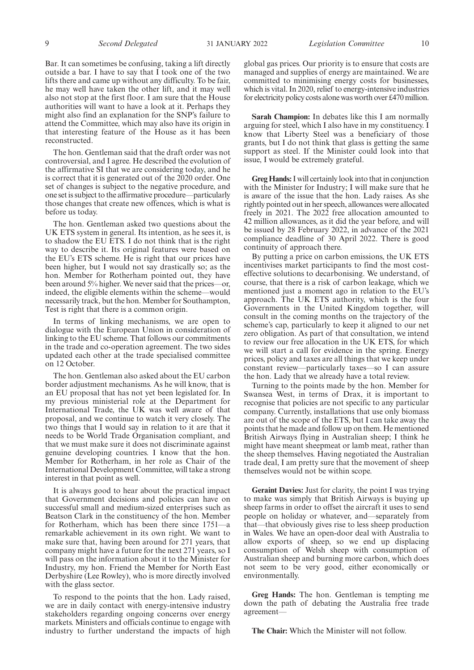Bar. It can sometimes be confusing, taking a lift directly outside a bar. I have to say that I took one of the two lifts there and came up without any difficulty. To be fair, he may well have taken the other lift, and it may well also not stop at the first floor. I am sure that the House authorities will want to have a look at it. Perhaps they might also find an explanation for the SNP's failure to attend the Committee, which may also have its origin in that interesting feature of the House as it has been reconstructed.

The hon. Gentleman said that the draft order was not controversial, and I agree. He described the evolution of the affirmative SI that we are considering today, and he is correct that it is generated out of the 2020 order. One set of changes is subject to the negative procedure, and one set is subject to the affirmative procedure—particularly those changes that create new offences, which is what is before us today.

The hon. Gentleman asked two questions about the UK ETS system in general. Its intention, as he sees it, is to shadow the EU ETS. I do not think that is the right way to describe it. Its original features were based on the EU's ETS scheme. He is right that our prices have been higher, but I would not say drastically so; as the hon. Member for Rotherham pointed out, they have been around 5% higher. We never said that the prices—or, indeed, the eligible elements within the scheme—would necessarily track, but the hon. Member for Southampton, Test is right that there is a common origin.

In terms of linking mechanisms, we are open to dialogue with the European Union in consideration of linking to the EU scheme. That follows our commitments in the trade and co-operation agreement. The two sides updated each other at the trade specialised committee on 12 October.

The hon. Gentleman also asked about the EU carbon border adjustment mechanisms. As he will know, that is an EU proposal that has not yet been legislated for. In my previous ministerial role at the Department for International Trade, the UK was well aware of that proposal, and we continue to watch it very closely. The two things that I would say in relation to it are that it needs to be World Trade Organisation compliant, and that we must make sure it does not discriminate against genuine developing countries. I know that the hon. Member for Rotherham, in her role as Chair of the International Development Committee, will take a strong interest in that point as well.

It is always good to hear about the practical impact that Government decisions and policies can have on successful small and medium-sized enterprises such as Beatson Clark in the constituency of the hon. Member for Rotherham, which has been there since 1751—a remarkable achievement in its own right. We want to make sure that, having been around for 271 years, that company might have a future for the next 271 years, so I will pass on the information about it to the Minister for Industry, my hon. Friend the Member for North East Derbyshire (Lee Rowley), who is more directly involved with the glass sector.

To respond to the points that the hon. Lady raised, we are in daily contact with energy-intensive industry stakeholders regarding ongoing concerns over energy markets. Ministers and officials continue to engage with industry to further understand the impacts of high global gas prices. Our priority is to ensure that costs are managed and supplies of energy are maintained. We are committed to minimising energy costs for businesses, which is vital. In 2020, relief to energy-intensive industries for electricity policy costs alone was worth over £470 million.

**Sarah Champion:** In debates like this I am normally arguing for steel, which I also have in my constituency. I know that Liberty Steel was a beneficiary of those grants, but I do not think that glass is getting the same support as steel. If the Minister could look into that issue, I would be extremely grateful.

**Greg Hands:**I will certainly look into that in conjunction with the Minister for Industry; I will make sure that he is aware of the issue that the hon. Lady raises. As she rightly pointed out in her speech, allowances were allocated freely in 2021. The 2022 free allocation amounted to 42 million allowances, as it did the year before, and will be issued by 28 February 2022, in advance of the 2021 compliance deadline of 30 April 2022. There is good continuity of approach there.

By putting a price on carbon emissions, the UK ETS incentivises market participants to find the most costeffective solutions to decarbonising. We understand, of course, that there is a risk of carbon leakage, which we mentioned just a moment ago in relation to the EU's approach. The UK ETS authority, which is the four Governments in the United Kingdom together, will consult in the coming months on the trajectory of the scheme's cap, particularly to keep it aligned to our net zero obligation. As part of that consultation, we intend to review our free allocation in the UK ETS, for which we will start a call for evidence in the spring. Energy prices, policy and taxes are all things that we keep under constant review—particularly taxes—so I can assure the hon. Lady that we already have a total review.

Turning to the points made by the hon. Member for Swansea West, in terms of Drax, it is important to recognise that policies are not specific to any particular company. Currently, installations that use only biomass are out of the scope of the ETS, but I can take away the points that he made and follow up on them. He mentioned British Airways flying in Australian sheep; I think he might have meant sheepmeat or lamb meat, rather than the sheep themselves. Having negotiated the Australian trade deal, I am pretty sure that the movement of sheep themselves would not be within scope.

**Geraint Davies:** Just for clarity, the point I was trying to make was simply that British Airways is buying up sheep farms in order to offset the aircraft it uses to send people on holiday or whatever, and—separately from that—that obviously gives rise to less sheep production in Wales. We have an open-door deal with Australia to allow exports of sheep, so we end up displacing consumption of Welsh sheep with consumption of Australian sheep and burning more carbon, which does not seem to be very good, either economically or environmentally.

**Greg Hands:** The hon. Gentleman is tempting me down the path of debating the Australia free trade agreement—

**The Chair:** Which the Minister will not follow.